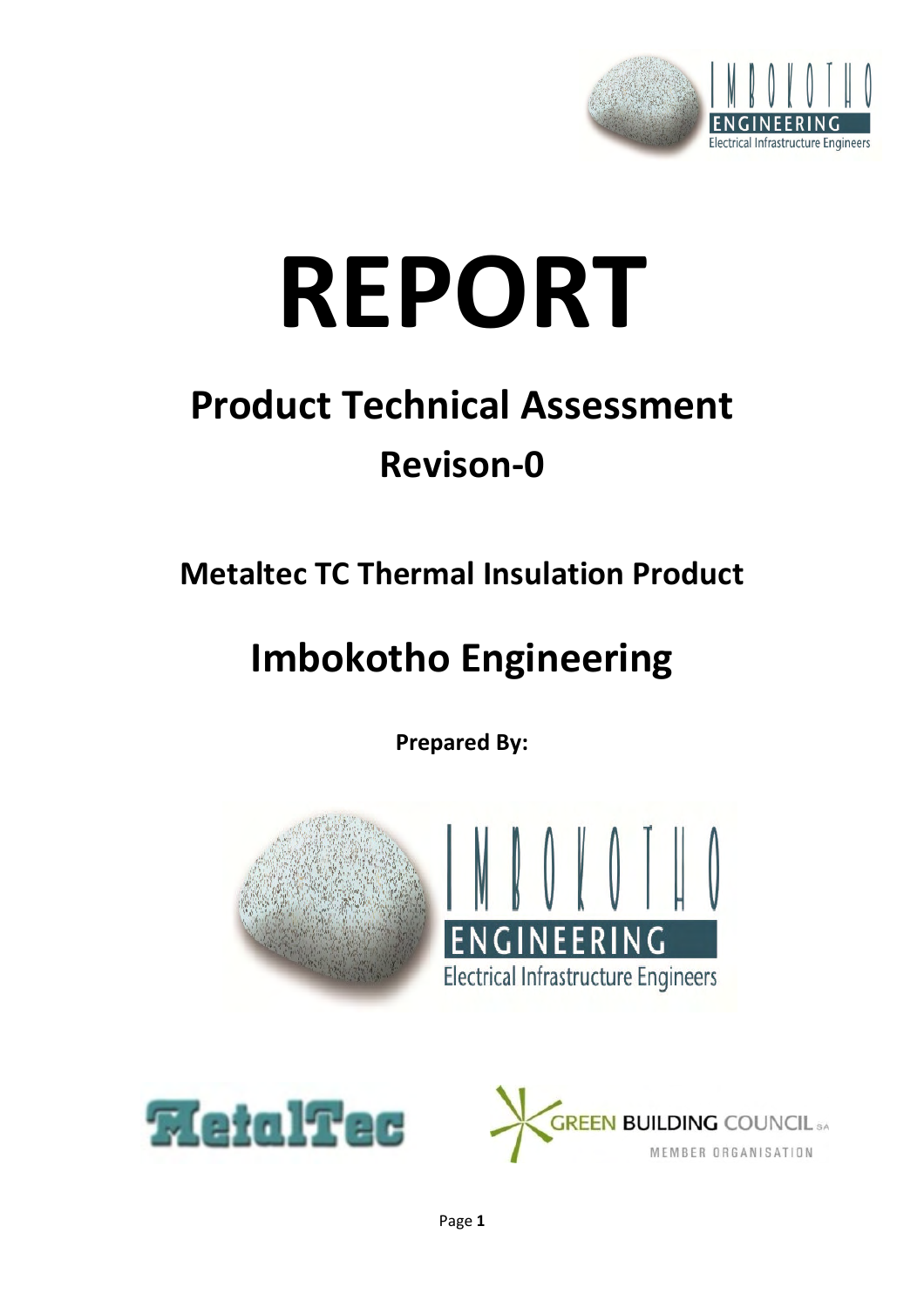

# REPORT

# Product Technical Assessment Revison-0

# Metaltec TC Thermal Insulation Product

# Imbokotho Engineering

Prepared By:





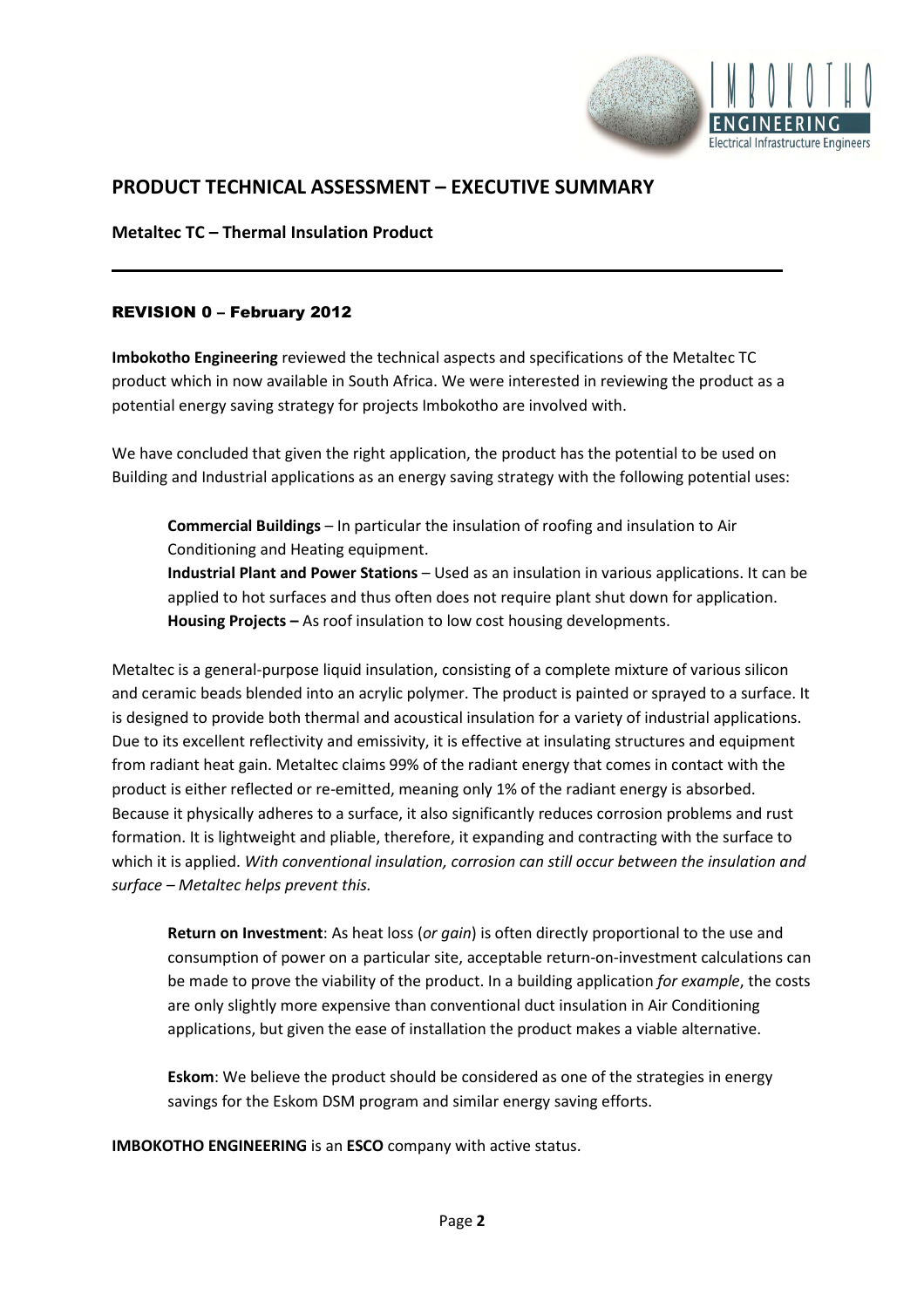

#### PRODUCT TECHNICAL ASSESSMENT – EXECUTIVE SUMMARY

Metaltec TC – Thermal Insulation Product

#### REVISION 0 – February 2012

Imbokotho Engineering reviewed the technical aspects and specifications of the Metaltec TC product which in now available in South Africa. We were interested in reviewing the product as a potential energy saving strategy for projects Imbokotho are involved with.

We have concluded that given the right application, the product has the potential to be used on Building and Industrial applications as an energy saving strategy with the following potential uses:

Commercial Buildings – In particular the insulation of roofing and insulation to Air Conditioning and Heating equipment.

Industrial Plant and Power Stations – Used as an insulation in various applications. It can be applied to hot surfaces and thus often does not require plant shut down for application. Housing Projects – As roof insulation to low cost housing developments.

Metaltec is a general-purpose liquid insulation, consisting of a complete mixture of various silicon and ceramic beads blended into an acrylic polymer. The product is painted or sprayed to a surface. It is designed to provide both thermal and acoustical insulation for a variety of industrial applications. Due to its excellent reflectivity and emissivity, it is effective at insulating structures and equipment from radiant heat gain. Metaltec claims 99% of the radiant energy that comes in contact with the product is either reflected or re-emitted, meaning only 1% of the radiant energy is absorbed. Because it physically adheres to a surface, it also significantly reduces corrosion problems and rust formation. It is lightweight and pliable, therefore, it expanding and contracting with the surface to which it is applied. With conventional insulation, corrosion can still occur between the insulation and surface – Metaltec helps prevent this.

Return on Investment: As heat loss (or gain) is often directly proportional to the use and consumption of power on a particular site, acceptable return-on-investment calculations can be made to prove the viability of the product. In a building application for example, the costs are only slightly more expensive than conventional duct insulation in Air Conditioning applications, but given the ease of installation the product makes a viable alternative.

Eskom: We believe the product should be considered as one of the strategies in energy savings for the Eskom DSM program and similar energy saving efforts.

IMBOKOTHO ENGINEERING is an ESCO company with active status.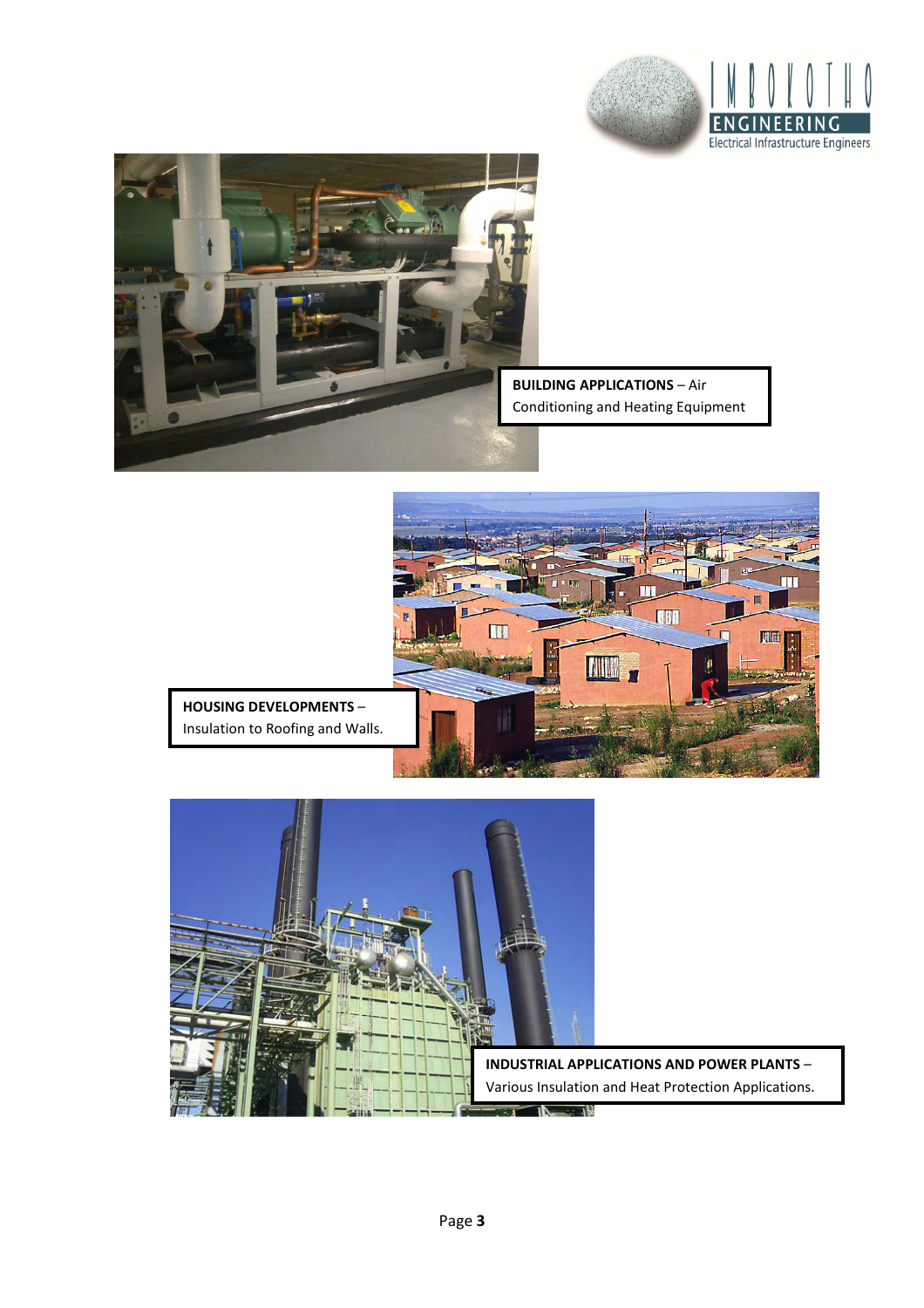



BUILDING APPLICATIONS – Air Conditioning and Heating Equipment



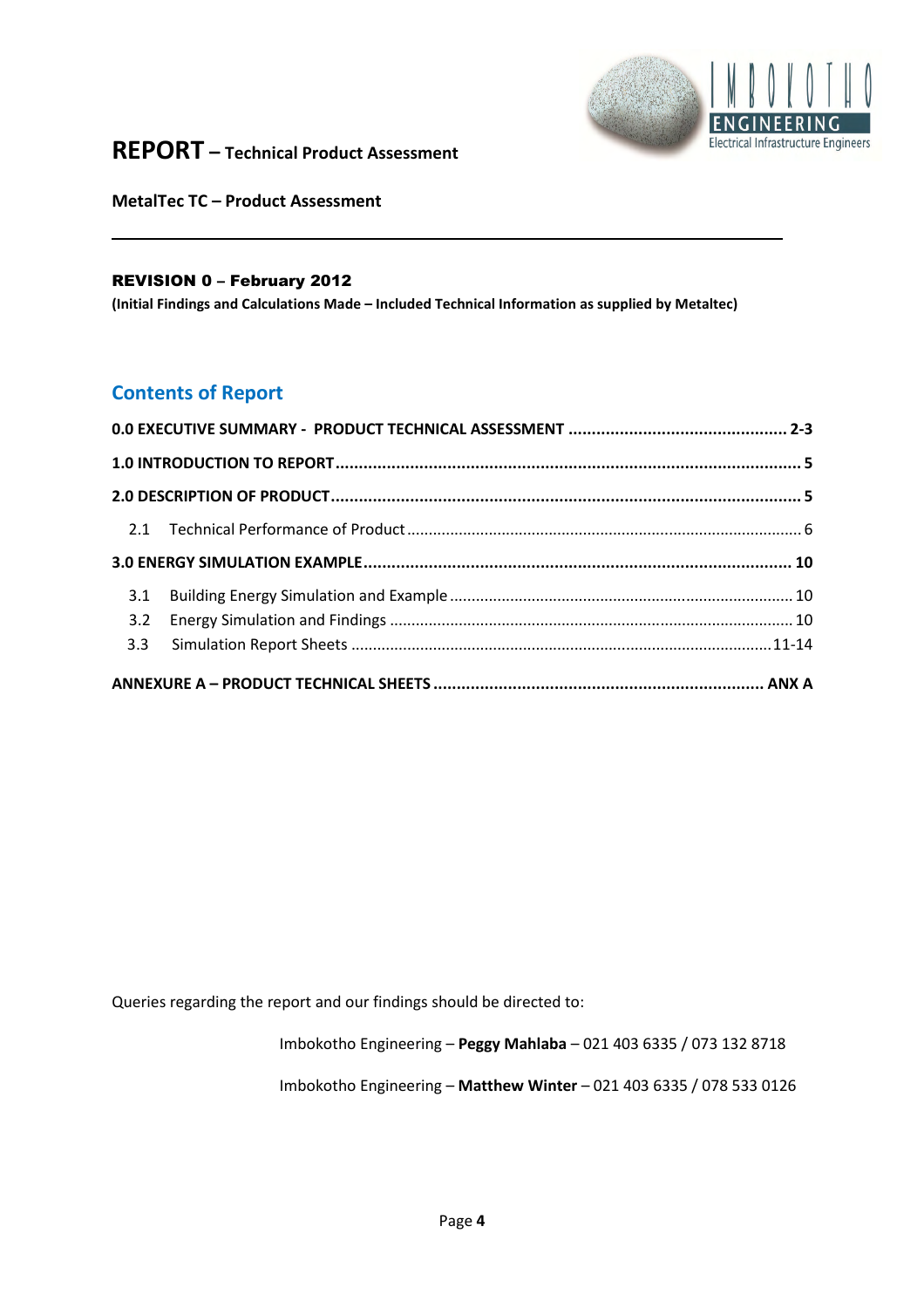

## REPORT – Technical Product Assessment

MetalTec TC – Product Assessment

#### REVISION 0 – February 2012

(Initial Findings and Calculations Made – Included Technical Information as supplied by Metaltec)

## Contents of Report

Queries regarding the report and our findings should be directed to:

Imbokotho Engineering – Peggy Mahlaba – 021 403 6335 / 073 132 8718

Imbokotho Engineering – Matthew Winter – 021 403 6335 / 078 533 0126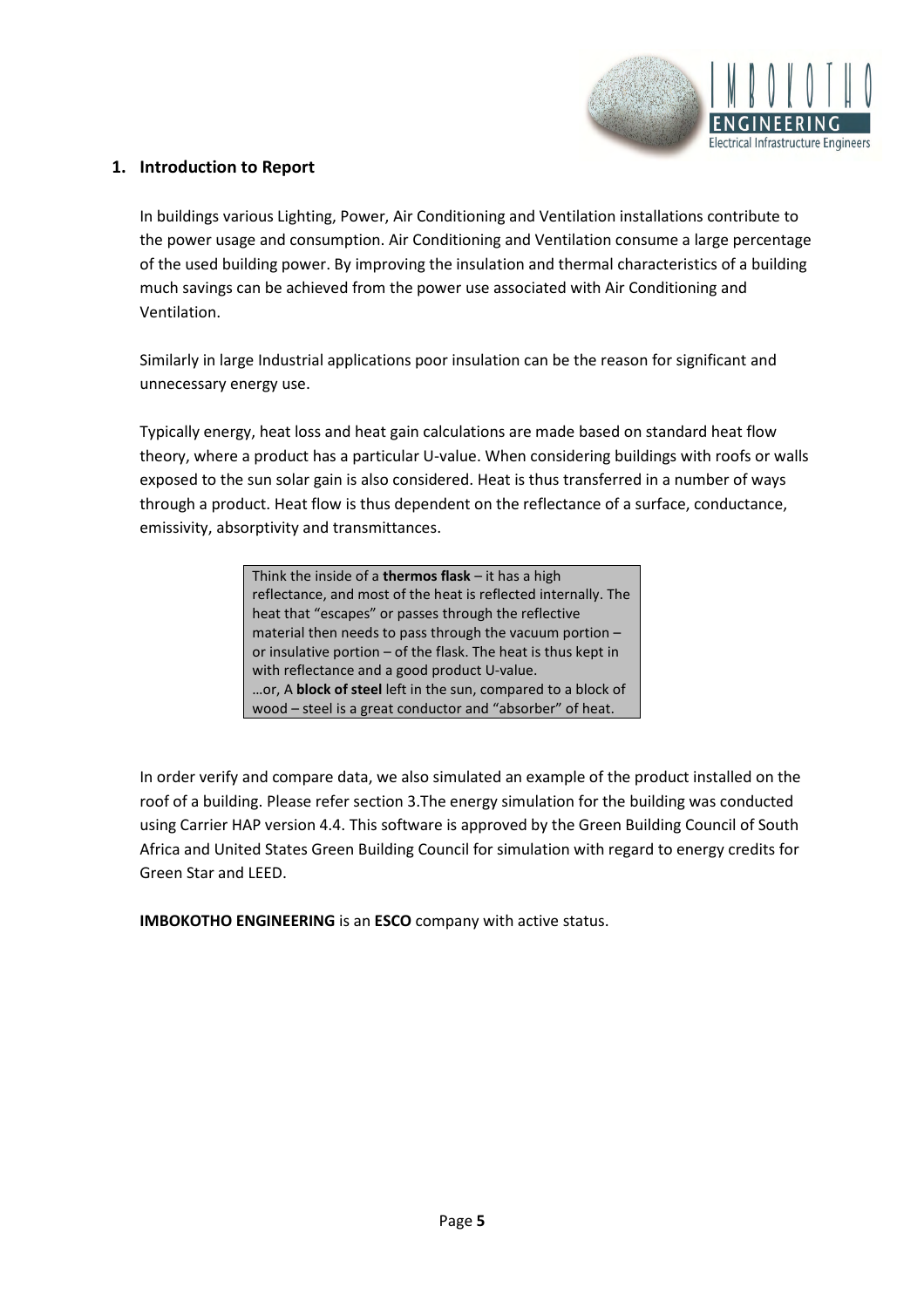

#### 1. Introduction to Report

In buildings various Lighting, Power, Air Conditioning and Ventilation installations contribute to the power usage and consumption. Air Conditioning and Ventilation consume a large percentage of the used building power. By improving the insulation and thermal characteristics of a building much savings can be achieved from the power use associated with Air Conditioning and Ventilation.

Similarly in large Industrial applications poor insulation can be the reason for significant and unnecessary energy use.

Typically energy, heat loss and heat gain calculations are made based on standard heat flow theory, where a product has a particular U-value. When considering buildings with roofs or walls exposed to the sun solar gain is also considered. Heat is thus transferred in a number of ways through a product. Heat flow is thus dependent on the reflectance of a surface, conductance, emissivity, absorptivity and transmittances.

> Think the inside of a thermos flask  $-$  it has a high reflectance, and most of the heat is reflected internally. The heat that "escapes" or passes through the reflective material then needs to pass through the vacuum portion – or insulative portion – of the flask. The heat is thus kept in with reflectance and a good product U-value. …or, A block of steel left in the sun, compared to a block of wood – steel is a great conductor and "absorber" of heat.

In order verify and compare data, we also simulated an example of the product installed on the roof of a building. Please refer section 3.The energy simulation for the building was conducted using Carrier HAP version 4.4. This software is approved by the Green Building Council of South Africa and United States Green Building Council for simulation with regard to energy credits for Green Star and LEED.

IMBOKOTHO ENGINEERING is an ESCO company with active status.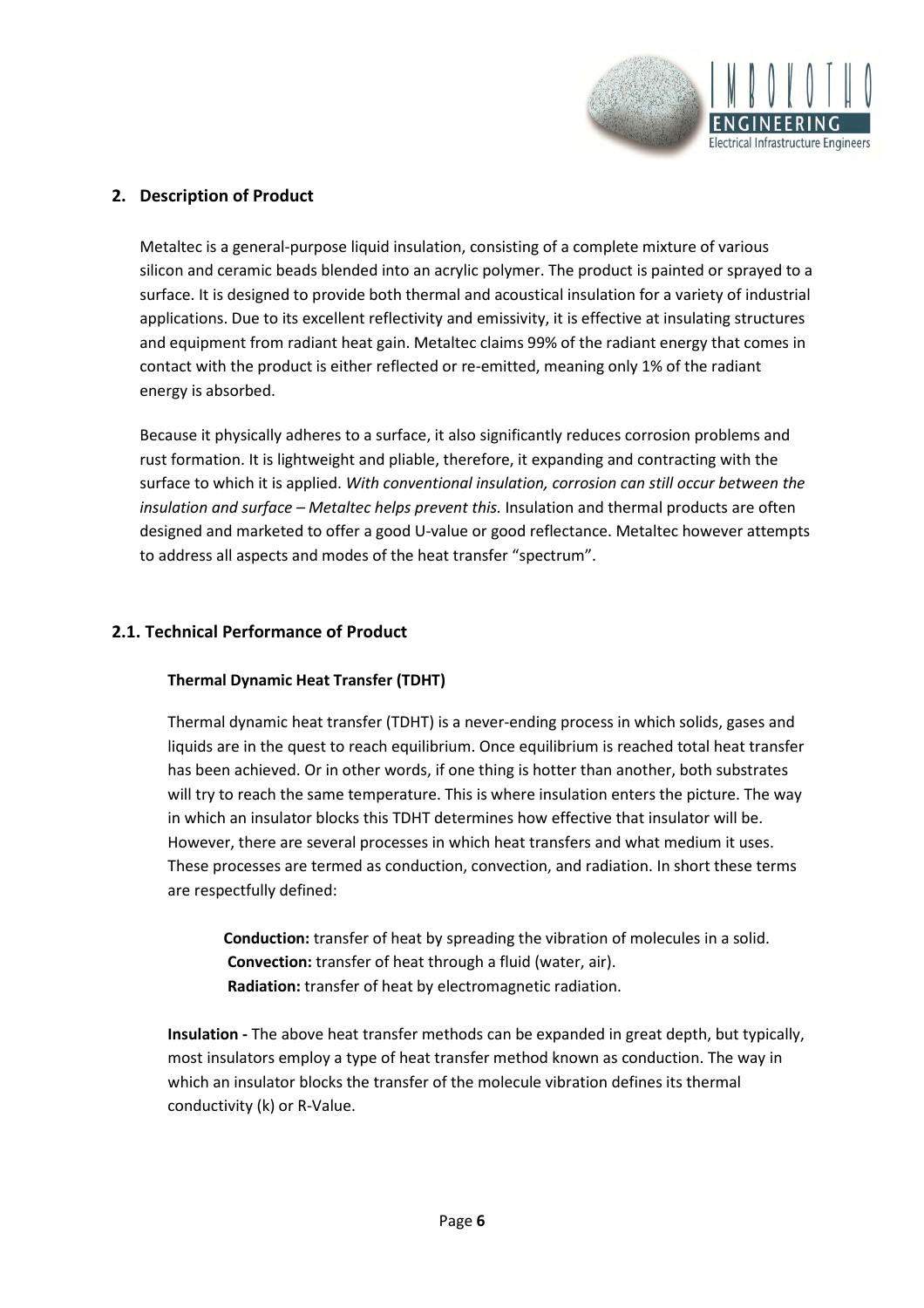

#### 2. Description of Product

Metaltec is a general-purpose liquid insulation, consisting of a complete mixture of various silicon and ceramic beads blended into an acrylic polymer. The product is painted or sprayed to a surface. It is designed to provide both thermal and acoustical insulation for a variety of industrial applications. Due to its excellent reflectivity and emissivity, it is effective at insulating structures and equipment from radiant heat gain. Metaltec claims 99% of the radiant energy that comes in contact with the product is either reflected or re-emitted, meaning only 1% of the radiant energy is absorbed.

Because it physically adheres to a surface, it also significantly reduces corrosion problems and rust formation. It is lightweight and pliable, therefore, it expanding and contracting with the surface to which it is applied. With conventional insulation, corrosion can still occur between the insulation and surface – Metaltec helps prevent this. Insulation and thermal products are often designed and marketed to offer a good U-value or good reflectance. Metaltec however attempts to address all aspects and modes of the heat transfer "spectrum".

#### 2.1. Technical Performance of Product

#### Thermal Dynamic Heat Transfer (TDHT)

Thermal dynamic heat transfer (TDHT) is a never-ending process in which solids, gases and liquids are in the quest to reach equilibrium. Once equilibrium is reached total heat transfer has been achieved. Or in other words, if one thing is hotter than another, both substrates will try to reach the same temperature. This is where insulation enters the picture. The way in which an insulator blocks this TDHT determines how effective that insulator will be. However, there are several processes in which heat transfers and what medium it uses. These processes are termed as conduction, convection, and radiation. In short these terms are respectfully defined:

 Conduction: transfer of heat by spreading the vibration of molecules in a solid. Convection: transfer of heat through a fluid (water, air). Radiation: transfer of heat by electromagnetic radiation.

Insulation - The above heat transfer methods can be expanded in great depth, but typically, most insulators employ a type of heat transfer method known as conduction. The way in which an insulator blocks the transfer of the molecule vibration defines its thermal conductivity (k) or R-Value.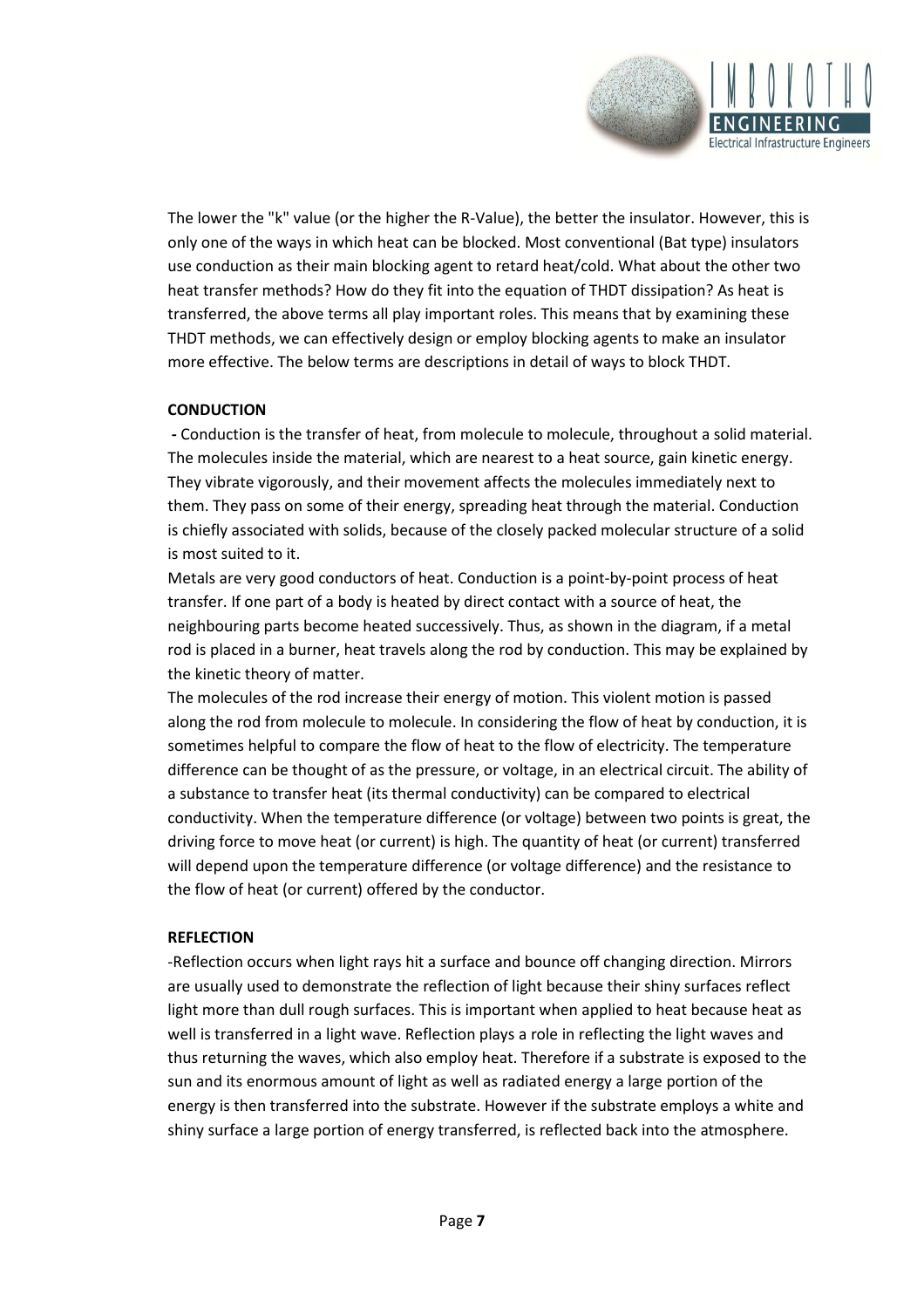

The lower the "k" value (or the higher the R-Value), the better the insulator. However, this is only one of the ways in which heat can be blocked. Most conventional (Bat type) insulators use conduction as their main blocking agent to retard heat/cold. What about the other two heat transfer methods? How do they fit into the equation of THDT dissipation? As heat is transferred, the above terms all play important roles. This means that by examining these THDT methods, we can effectively design or employ blocking agents to make an insulator more effective. The below terms are descriptions in detail of ways to block THDT.

#### **CONDUCTION**

 - Conduction is the transfer of heat, from molecule to molecule, throughout a solid material. The molecules inside the material, which are nearest to a heat source, gain kinetic energy. They vibrate vigorously, and their movement affects the molecules immediately next to them. They pass on some of their energy, spreading heat through the material. Conduction is chiefly associated with solids, because of the closely packed molecular structure of a solid is most suited to it.

Metals are very good conductors of heat. Conduction is a point-by-point process of heat transfer. If one part of a body is heated by direct contact with a source of heat, the neighbouring parts become heated successively. Thus, as shown in the diagram, if a metal rod is placed in a burner, heat travels along the rod by conduction. This may be explained by the kinetic theory of matter.

The molecules of the rod increase their energy of motion. This violent motion is passed along the rod from molecule to molecule. In considering the flow of heat by conduction, it is sometimes helpful to compare the flow of heat to the flow of electricity. The temperature difference can be thought of as the pressure, or voltage, in an electrical circuit. The ability of a substance to transfer heat (its thermal conductivity) can be compared to electrical conductivity. When the temperature difference (or voltage) between two points is great, the driving force to move heat (or current) is high. The quantity of heat (or current) transferred will depend upon the temperature difference (or voltage difference) and the resistance to the flow of heat (or current) offered by the conductor.

#### **REFLECTION**

-Reflection occurs when light rays hit a surface and bounce off changing direction. Mirrors are usually used to demonstrate the reflection of light because their shiny surfaces reflect light more than dull rough surfaces. This is important when applied to heat because heat as well is transferred in a light wave. Reflection plays a role in reflecting the light waves and thus returning the waves, which also employ heat. Therefore if a substrate is exposed to the sun and its enormous amount of light as well as radiated energy a large portion of the energy is then transferred into the substrate. However if the substrate employs a white and shiny surface a large portion of energy transferred, is reflected back into the atmosphere.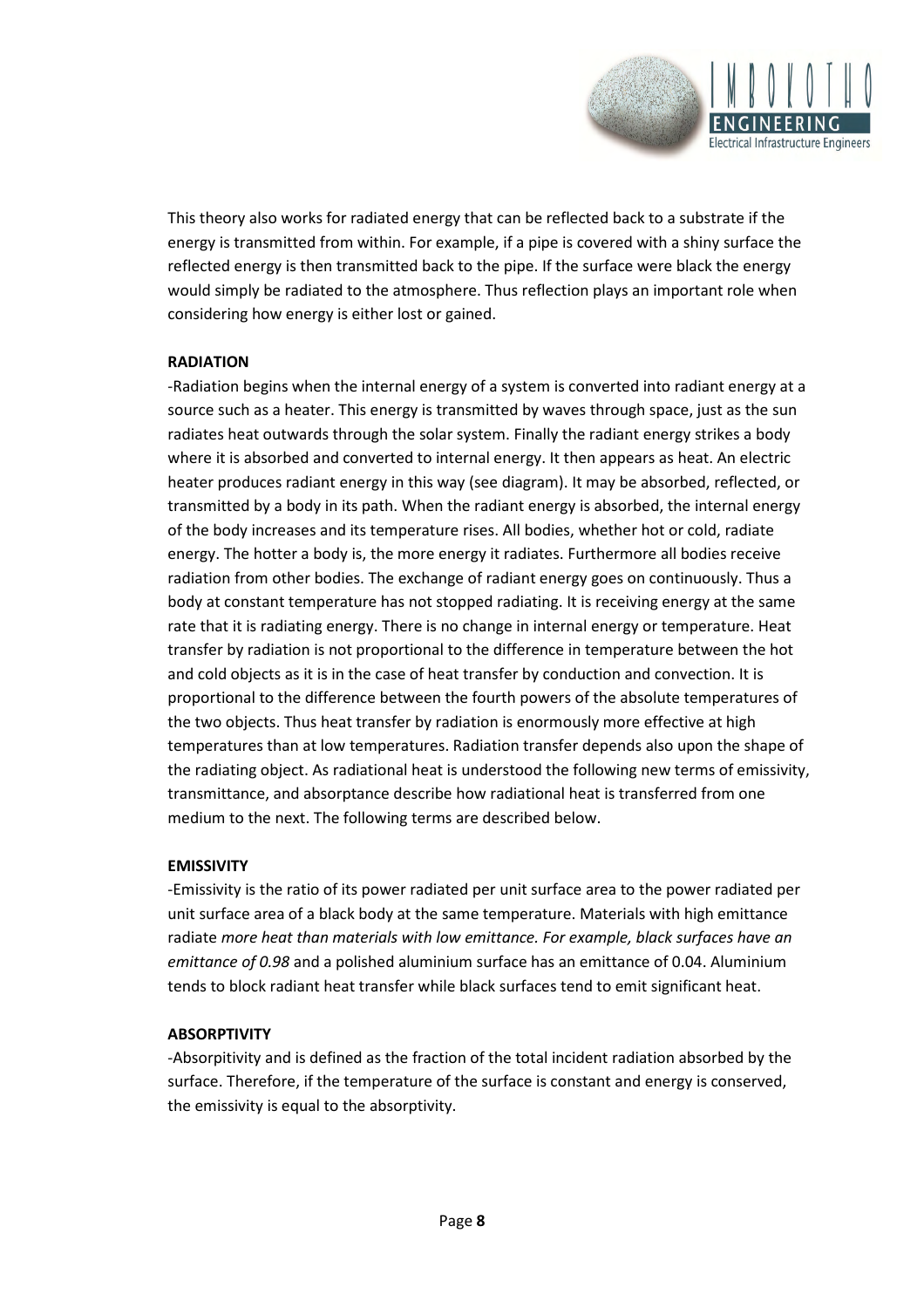

This theory also works for radiated energy that can be reflected back to a substrate if the energy is transmitted from within. For example, if a pipe is covered with a shiny surface the reflected energy is then transmitted back to the pipe. If the surface were black the energy would simply be radiated to the atmosphere. Thus reflection plays an important role when considering how energy is either lost or gained.

#### RADIATION

-Radiation begins when the internal energy of a system is converted into radiant energy at a source such as a heater. This energy is transmitted by waves through space, just as the sun radiates heat outwards through the solar system. Finally the radiant energy strikes a body where it is absorbed and converted to internal energy. It then appears as heat. An electric heater produces radiant energy in this way (see diagram). It may be absorbed, reflected, or transmitted by a body in its path. When the radiant energy is absorbed, the internal energy of the body increases and its temperature rises. All bodies, whether hot or cold, radiate energy. The hotter a body is, the more energy it radiates. Furthermore all bodies receive radiation from other bodies. The exchange of radiant energy goes on continuously. Thus a body at constant temperature has not stopped radiating. It is receiving energy at the same rate that it is radiating energy. There is no change in internal energy or temperature. Heat transfer by radiation is not proportional to the difference in temperature between the hot and cold objects as it is in the case of heat transfer by conduction and convection. It is proportional to the difference between the fourth powers of the absolute temperatures of the two objects. Thus heat transfer by radiation is enormously more effective at high temperatures than at low temperatures. Radiation transfer depends also upon the shape of the radiating object. As radiational heat is understood the following new terms of emissivity, transmittance, and absorptance describe how radiational heat is transferred from one medium to the next. The following terms are described below.

#### EMISSIVITY

-Emissivity is the ratio of its power radiated per unit surface area to the power radiated per unit surface area of a black body at the same temperature. Materials with high emittance radiate more heat than materials with low emittance. For example, black surfaces have an emittance of 0.98 and a polished aluminium surface has an emittance of 0.04. Aluminium tends to block radiant heat transfer while black surfaces tend to emit significant heat.

#### **ABSORPTIVITY**

-Absorpitivity and is defined as the fraction of the total incident radiation absorbed by the surface. Therefore, if the temperature of the surface is constant and energy is conserved, the emissivity is equal to the absorptivity.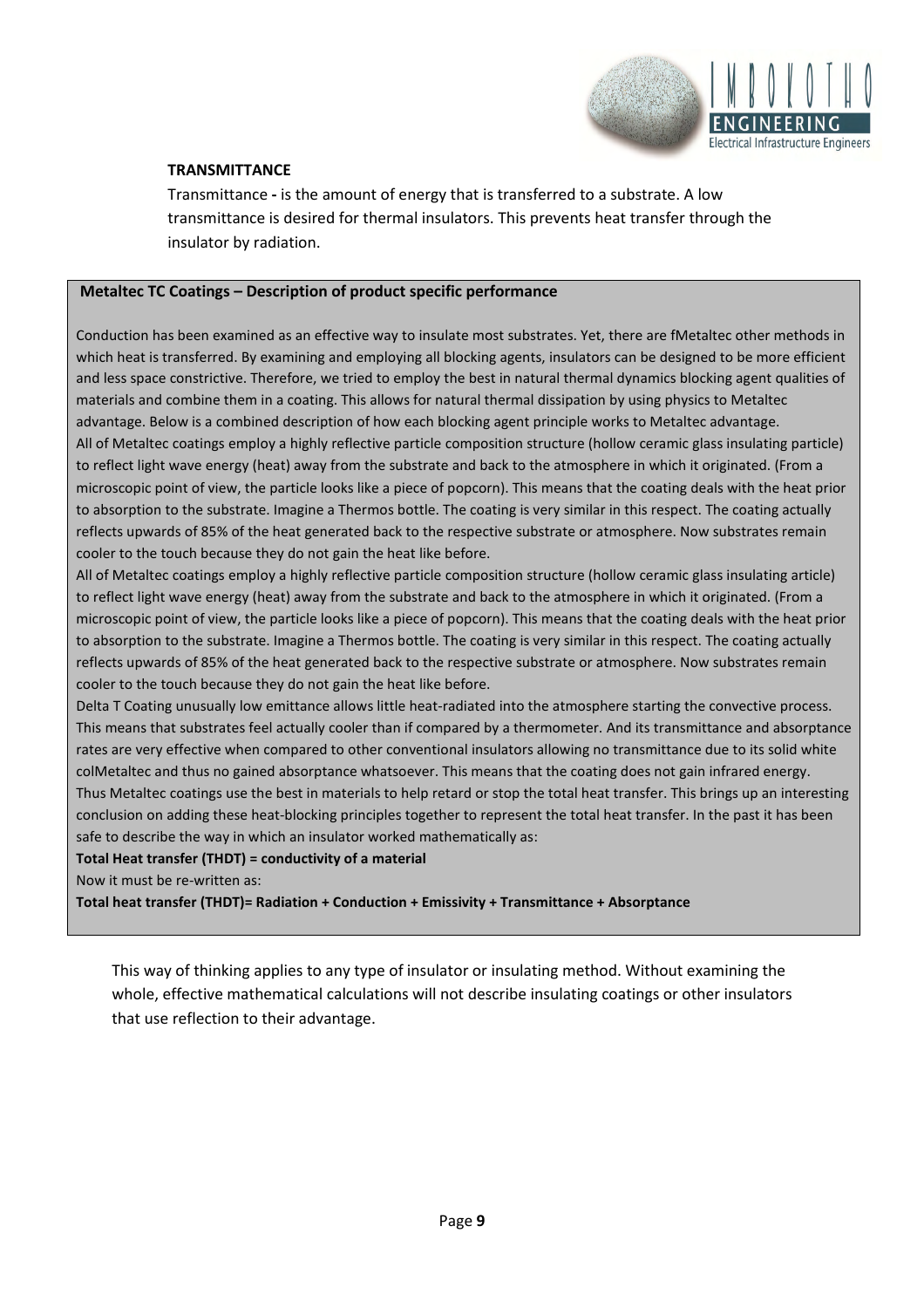

#### **TRANSMITTANCE**

Transmittance - is the amount of energy that is transferred to a substrate. A low transmittance is desired for thermal insulators. This prevents heat transfer through the insulator by radiation.

#### Metaltec TC Coatings – Description of product specific performance

Conduction has been examined as an effective way to insulate most substrates. Yet, there are fMetaltec other methods in which heat is transferred. By examining and employing all blocking agents, insulators can be designed to be more efficient and less space constrictive. Therefore, we tried to employ the best in natural thermal dynamics blocking agent qualities of materials and combine them in a coating. This allows for natural thermal dissipation by using physics to Metaltec advantage. Below is a combined description of how each blocking agent principle works to Metaltec advantage. All of Metaltec coatings employ a highly reflective particle composition structure (hollow ceramic glass insulating particle) to reflect light wave energy (heat) away from the substrate and back to the atmosphere in which it originated. (From a microscopic point of view, the particle looks like a piece of popcorn). This means that the coating deals with the heat prior to absorption to the substrate. Imagine a Thermos bottle. The coating is very similar in this respect. The coating actually reflects upwards of 85% of the heat generated back to the respective substrate or atmosphere. Now substrates remain cooler to the touch because they do not gain the heat like before.

All of Metaltec coatings employ a highly reflective particle composition structure (hollow ceramic glass insulating article) to reflect light wave energy (heat) away from the substrate and back to the atmosphere in which it originated. (From a microscopic point of view, the particle looks like a piece of popcorn). This means that the coating deals with the heat prior to absorption to the substrate. Imagine a Thermos bottle. The coating is very similar in this respect. The coating actually reflects upwards of 85% of the heat generated back to the respective substrate or atmosphere. Now substrates remain cooler to the touch because they do not gain the heat like before.

Delta T Coating unusually low emittance allows little heat-radiated into the atmosphere starting the convective process. This means that substrates feel actually cooler than if compared by a thermometer. And its transmittance and absorptance rates are very effective when compared to other conventional insulators allowing no transmittance due to its solid white colMetaltec and thus no gained absorptance whatsoever. This means that the coating does not gain infrared energy. Thus Metaltec coatings use the best in materials to help retard or stop the total heat transfer. This brings up an interesting conclusion on adding these heat-blocking principles together to represent the total heat transfer. In the past it has been safe to describe the way in which an insulator worked mathematically as:

Total Heat transfer (THDT) = conductivity of a material

Now it must be re-written as:

Total heat transfer (THDT)= Radiation + Conduction + Emissivity + Transmittance + Absorptance

This way of thinking applies to any type of insulator or insulating method. Without examining the whole, effective mathematical calculations will not describe insulating coatings or other insulators that use reflection to their advantage.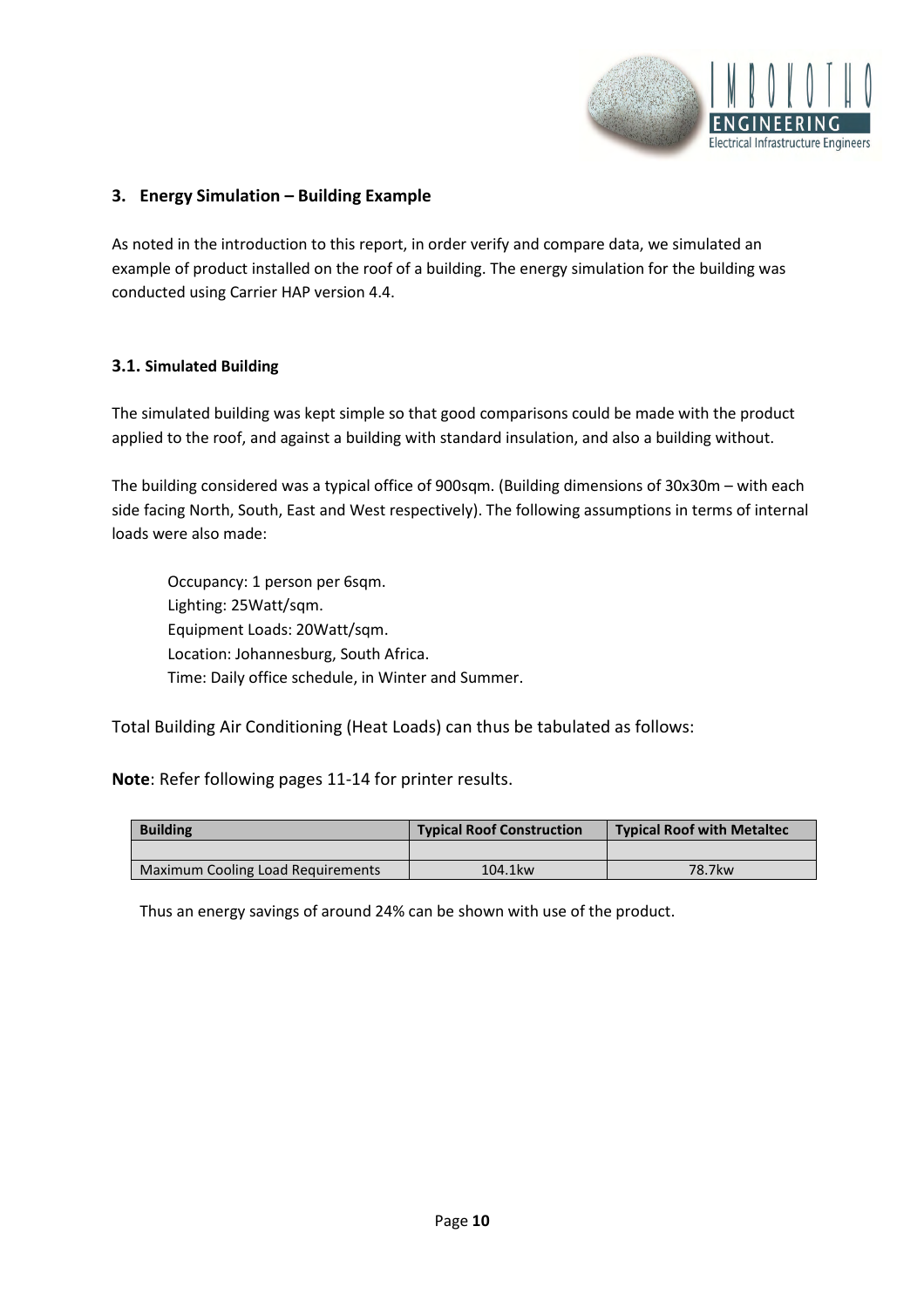

#### 3. Energy Simulation – Building Example

As noted in the introduction to this report, in order verify and compare data, we simulated an example of product installed on the roof of a building. The energy simulation for the building was conducted using Carrier HAP version 4.4.

#### 3.1. Simulated Building

The simulated building was kept simple so that good comparisons could be made with the product applied to the roof, and against a building with standard insulation, and also a building without.

The building considered was a typical office of 900sqm. (Building dimensions of 30x30m – with each side facing North, South, East and West respectively). The following assumptions in terms of internal loads were also made:

 Occupancy: 1 person per 6sqm. Lighting: 25Watt/sqm. Equipment Loads: 20Watt/sqm. Location: Johannesburg, South Africa. Time: Daily office schedule, in Winter and Summer.

Total Building Air Conditioning (Heat Loads) can thus be tabulated as follows:

#### Note: Refer following pages 11-14 for printer results.

| <b>Building</b>                   | <b>Typical Roof Construction</b> | <b>Typical Roof with Metaltect</b> |  |
|-----------------------------------|----------------------------------|------------------------------------|--|
|                                   |                                  |                                    |  |
| Maximum Cooling Load Requirements | 104.1kw                          | 78.7kw                             |  |

Thus an energy savings of around 24% can be shown with use of the product.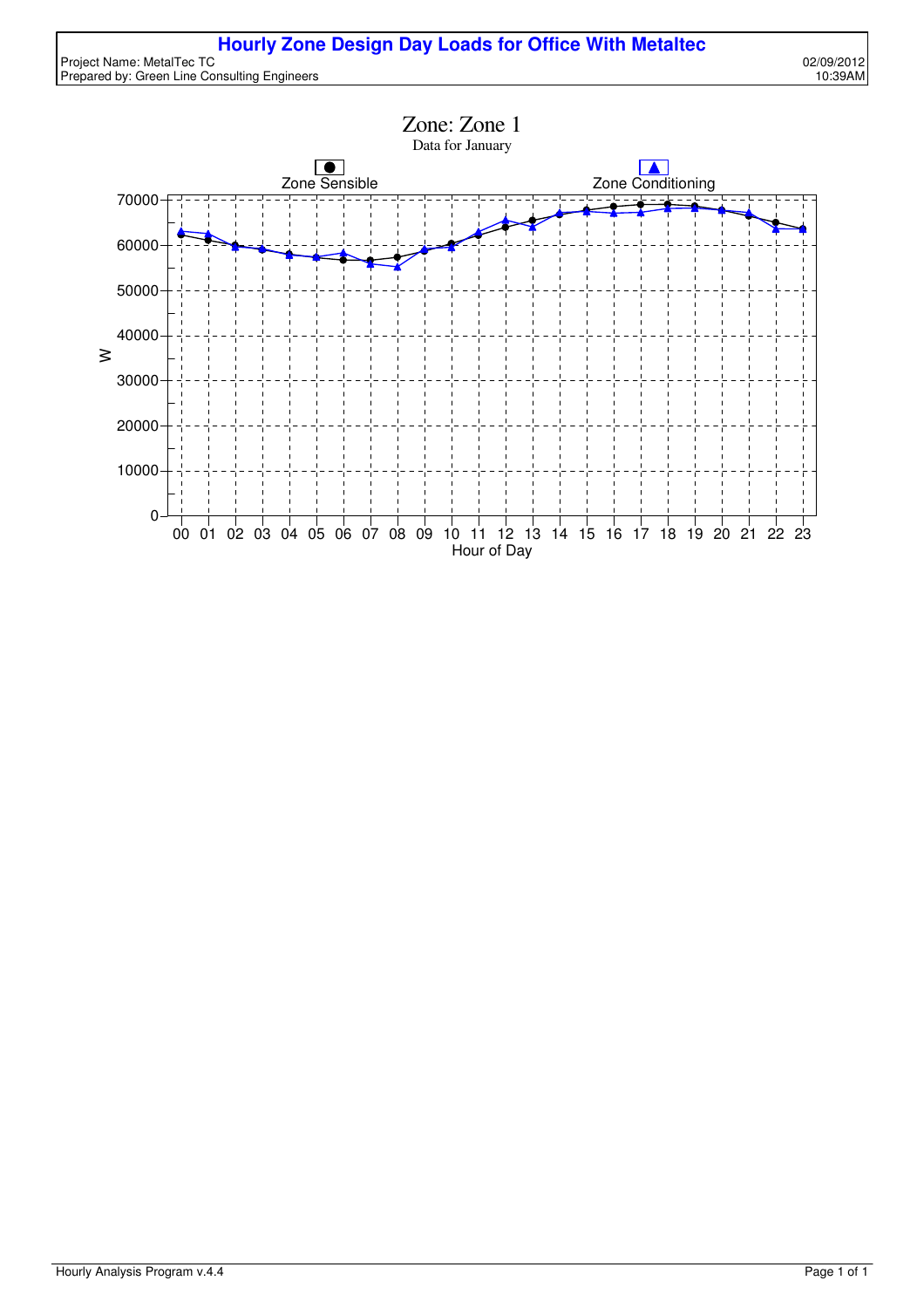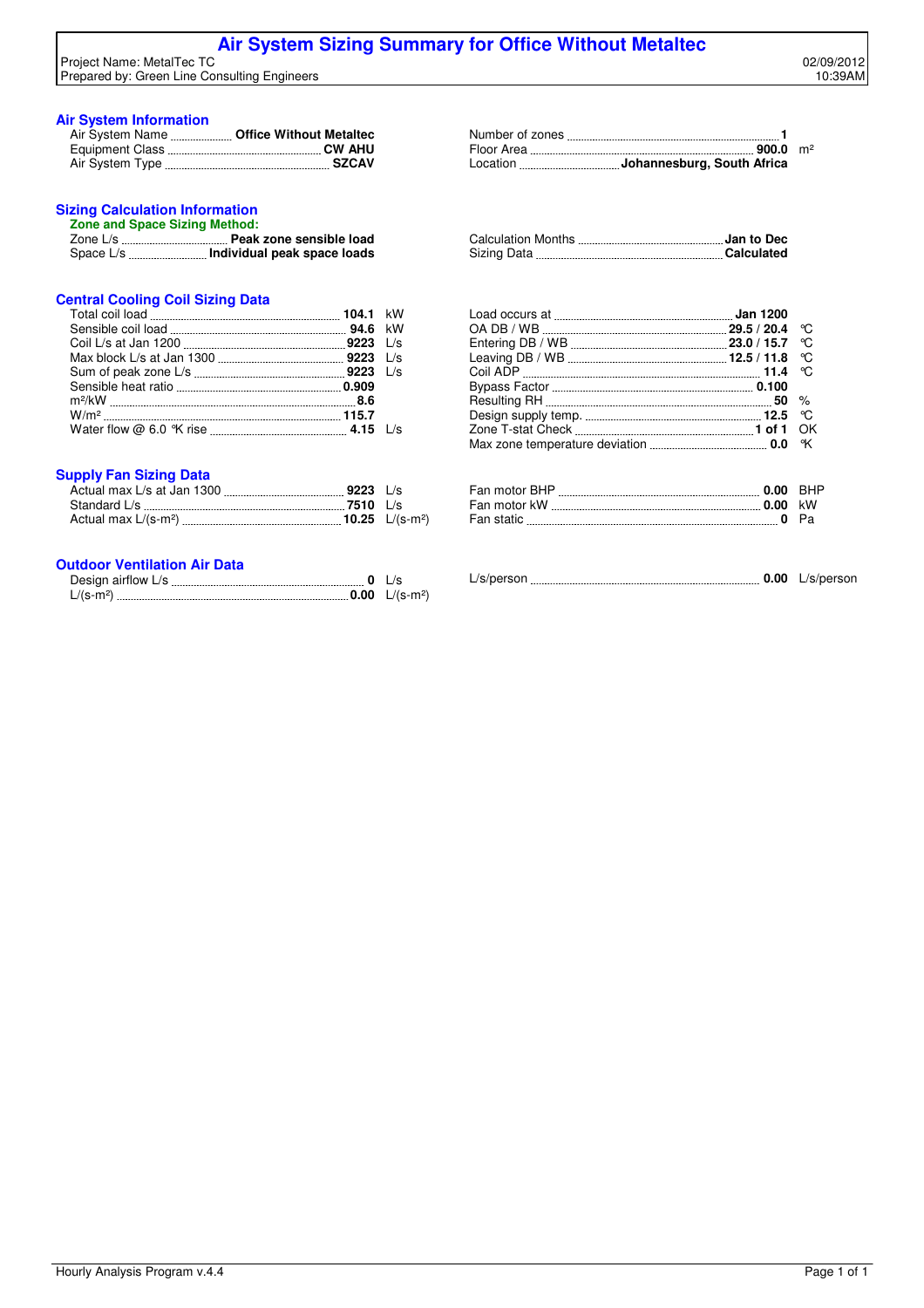Project Name: MetalTec TC 02/09/2012 Prepared by: Green Line Consulting Engineers 10:39AM

| Air System Name | <b>Office Without Metaltec</b> |
|-----------------|--------------------------------|
| Equipment Class | <b>CW AHU</b>                  |
| Air System Type | <b>SZCAV</b>                   |

#### **Sizing Calculation Information**

**Zone and Space Sizing Method:**

| Zone $L/s$ | . Peak zone sensible load   |
|------------|-----------------------------|
| Space L/s  | Individual peak space loads |

#### **Central Cooling Coil Sizing Data**

|              | 104.1 kW |  |
|--------------|----------|--|
|              |          |  |
|              |          |  |
|              |          |  |
|              |          |  |
|              |          |  |
|              |          |  |
| $W/m2$ 115.7 |          |  |
|              |          |  |
|              |          |  |

#### **Supply Fan Sizing Data**

| 7510 L/s                      |  |
|-------------------------------|--|
| $10.25$ L/(s-m <sup>2</sup> ) |  |

#### **Outdoor Ventilation Air Data**

| Design airflow L/s |                              |
|--------------------|------------------------------|
|                    | $0.00$ L/(s-m <sup>2</sup> ) |

| Number of zones and the contract of the contract of the contract of the contract of the contract of the contract of the contract of the contract of the contract of the contract of the contract of the contract of the contra |             |  |
|--------------------------------------------------------------------------------------------------------------------------------------------------------------------------------------------------------------------------------|-------------|--|
| Floor Area                                                                                                                                                                                                                     | 900.0 $m^2$ |  |
|                                                                                                                                                                                                                                |             |  |

| Calculation Months | <b>Jan to Dec</b> |
|--------------------|-------------------|
| Sizing Data .<br>  | <b>Calculated</b> |

|          |    | ℃          |
|----------|----|------------|
|          |    |            |
|          |    | °C         |
|          |    | ℃.         |
|          |    |            |
|          | 50 | %          |
|          |    | ം സ        |
|          |    | OK         |
|          |    | ⊸K         |
|          |    | <b>BHP</b> |
|          |    | kW         |
|          |    | Pa         |
|          |    |            |
| $\cdots$ |    | --- --     |

L/s/person **0.00** L/s/person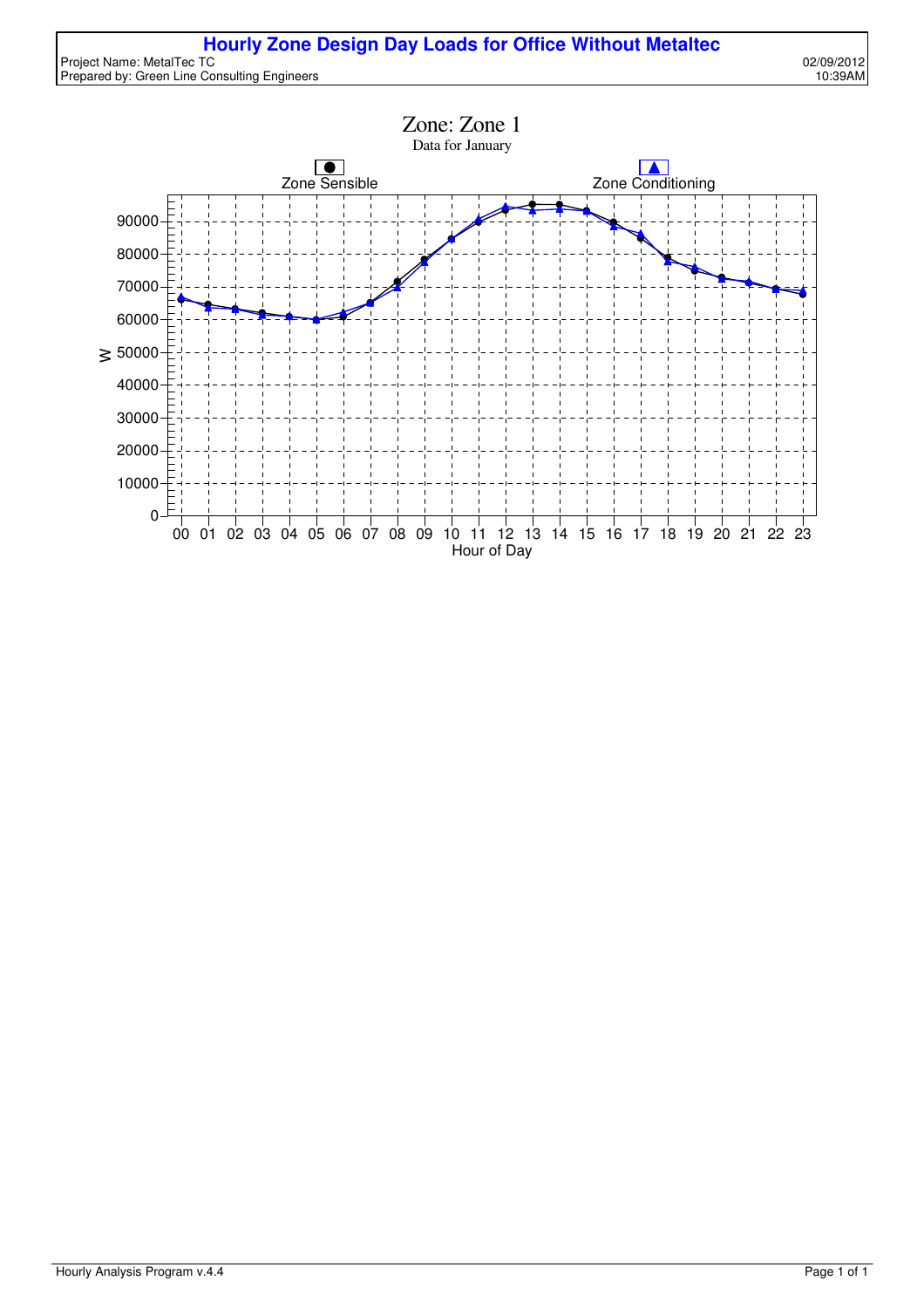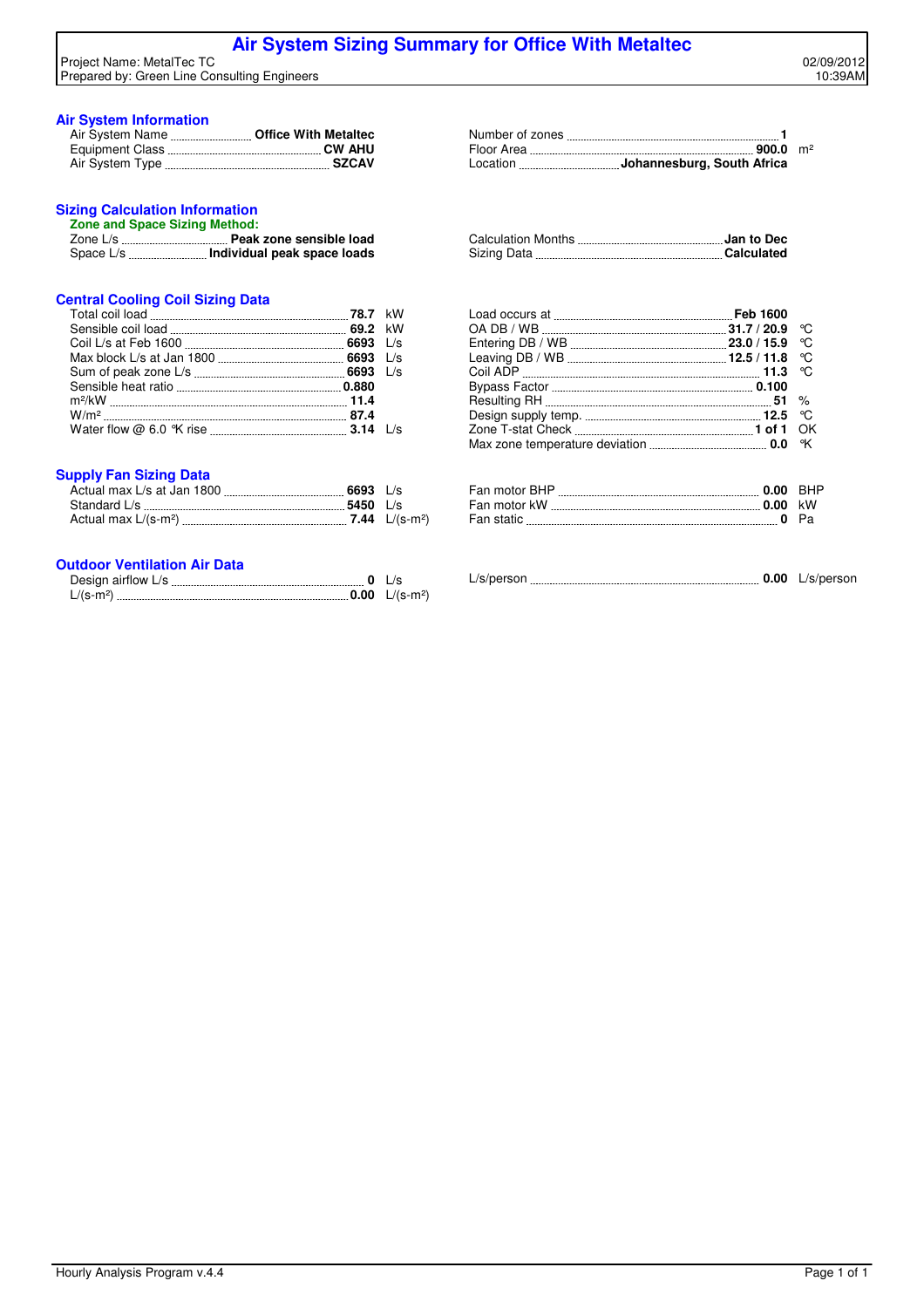Project Name: MetalTec TC 02/09/2012 Prepared by: Green Line Consulting Engineers 10:39AM

| Air System Name  | <b>Office With Metaltec</b> |
|------------------|-----------------------------|
| Equipment Class. | <b>CW AHU</b>               |
| Air System Type  | <b>SZCAV</b>                |

| <b>Sizing Calculation Information</b> |  |  |  |  |
|---------------------------------------|--|--|--|--|
|---------------------------------------|--|--|--|--|

#### **Zone and Space Sizing Method:**

| Zone $L/s$ | Peak zone sensible load     |
|------------|-----------------------------|
| Space L/s  | Individual peak space loads |

#### **Central Cooling Coil Sizing Data**

|             | 78.7 kW    |  |
|-------------|------------|--|
|             |            |  |
|             | 6693 $L/s$ |  |
|             |            |  |
|             |            |  |
|             |            |  |
|             |            |  |
| $W/m2$ 87.4 |            |  |
|             |            |  |
|             |            |  |

#### **Supply Fan Sizing Data**

| Standard L/s<br>5450 L/s |                  |
|--------------------------|------------------|
|                          | 7.44 $L/(s-m^2)$ |

#### **Outdoor Ventilation Air Data**

| Design airflow L/s |                               |
|--------------------|-------------------------------|
| $L/(s-m2)$         | $.0.00$ L/(s-m <sup>2</sup> ) |

| Number of zones and the state of the state of the state of the state of the state of the state of the state of |                     |  |
|----------------------------------------------------------------------------------------------------------------|---------------------|--|
|                                                                                                                | $900.0 \text{ m}^2$ |  |
|                                                                                                                |                     |  |

| <b>Calculation Months</b>                  | Jan to Dec   |
|--------------------------------------------|--------------|
| Sizing Data .<br>------------------------- | . Calculated |

|  | °C                     |
|--|------------------------|
|  | °C                     |
|  | °C                     |
|  | ℃                      |
|  |                        |
|  | ℅                      |
|  | ℃                      |
|  | OK                     |
|  | °K                     |
|  | <b>BHP</b><br>kW<br>Рa |
|  |                        |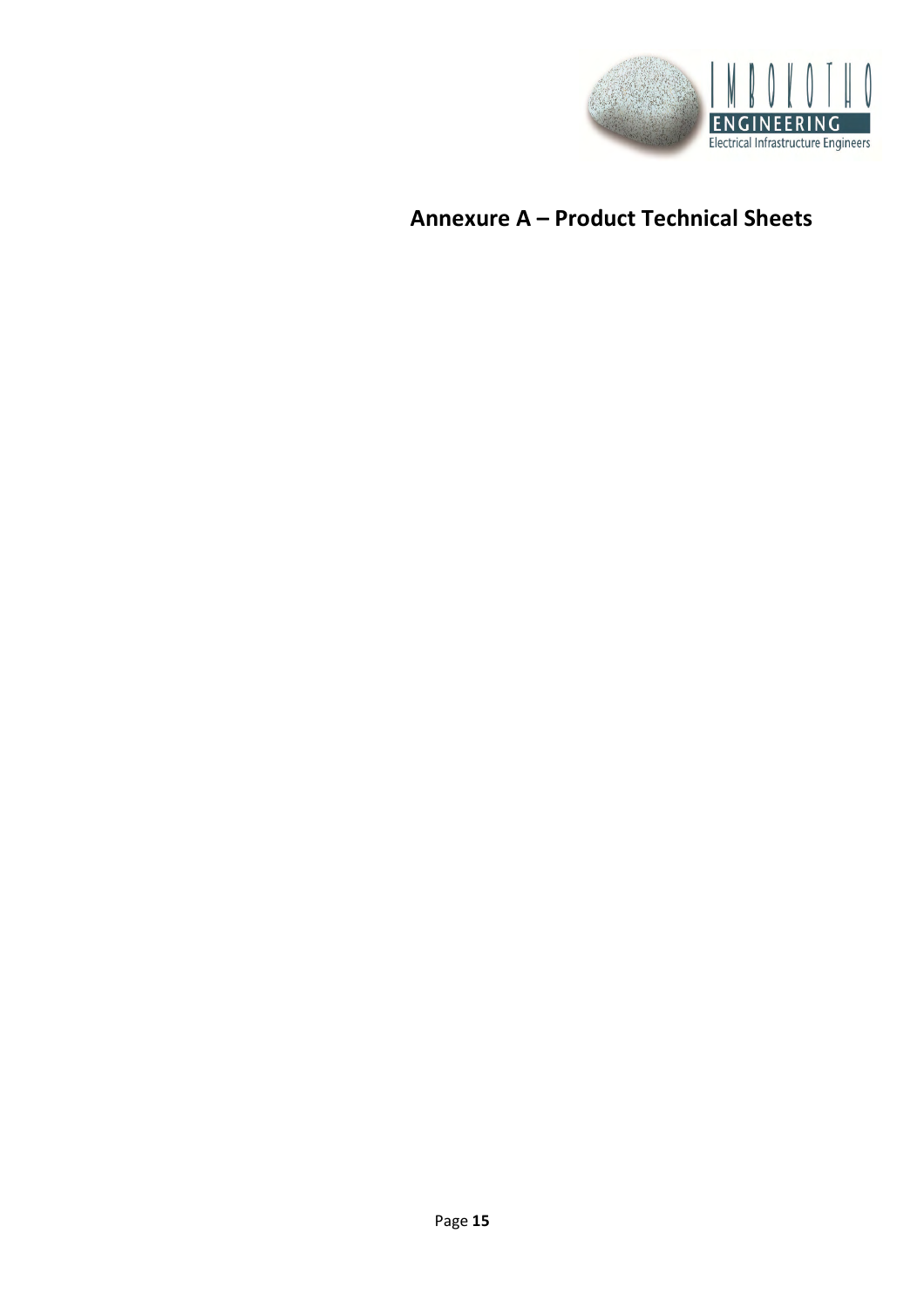

# Annexure A – Product Technical Sheets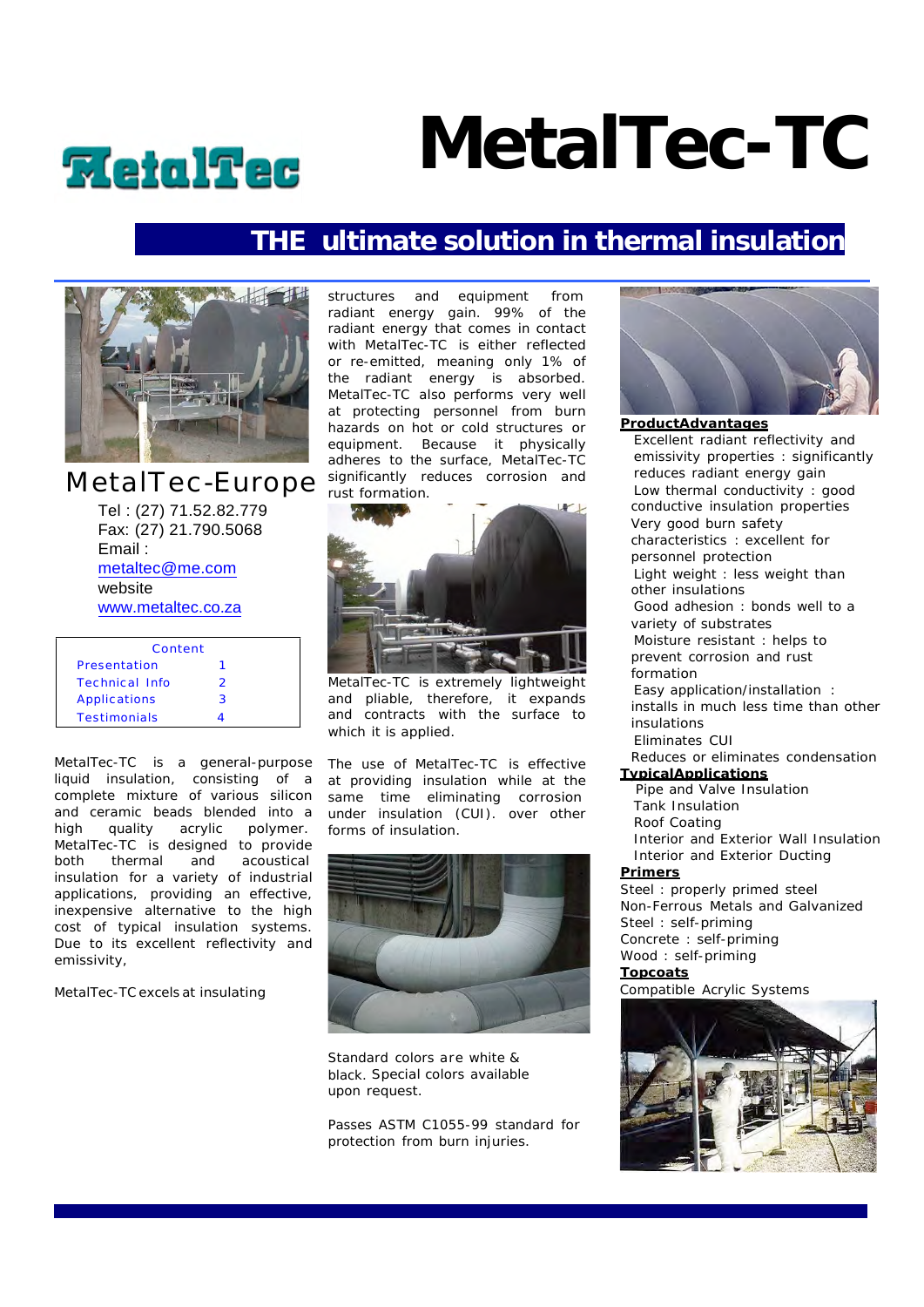# **MetalTec-TC**

# **MeialTec**

# **THE ultimate solution in thermal insulation**



## MetalTec-Europe

| Tel: (27) 71.52.82.779 |
|------------------------|
| Fax: (27) 21.790.5068  |
| Email:                 |
| metaltec@me.com        |
| website                |
| www.metaltec.co.za     |
|                        |

| Content             |               |  |
|---------------------|---------------|--|
| Presentation        |               |  |
| Technical Info      | $\mathcal{P}$ |  |
| Applications        | 3             |  |
| <b>Testimonials</b> |               |  |

MetalTec-TC is a general-purpose liquid insulation, consisting of a complete mixture of various silicon and ceramic beads blended into a high quality acrylic polymer. MetalTec-TC is designed to provide both thermal and acoustical insulation for a variety of industrial applications, providing an effective, inexpensive alternative to the high cost of typical insulation systems. Due to its excellent reflectivity and emissivity,

MetalTec-TC excels at insulating

structures and equipment from radiant energy gain. 99% of the radiant energy that comes in contact with MetalTec-TC is either reflected or re-emitted, meaning only 1% of the radiant energy is absorbed. MetalTec-TC also performs very well at protecting personnel from burn hazards on hot or cold structures or equipment. Because it physically adheres to the surface, MetalTec-TC significantly reduces corrosion and rust formation.



MetalTec-TC is extremely lightweight and pliable, therefore, it expands and contracts with the surface to which it is applied.

The use of MetalTec-TC is effective at providing insulation while at the same time eliminating corrosion under insulation (CUI). over other forms of insulation.



Standard colors are white & black. Special colors available upon request.

Passes ASTM C1055-99 standard for protection from burn injuries.



Excellent radiant reflectivity and emissivity properties : significantly reduces radiant energy gain Low thermal conductivity : good conductive insulation properties Very good burn safety characteristics : excellent for personnel protection Light weight : less weight than other insulations Good adhesion : bonds well to a variety of substrates Moisture resistant : helps to prevent corrosion and rust formation Easy application/installation : installs in much less time than other insulations Eliminates CUI Reduces or eliminates condensation **TypicalApplications** Pipe and Valve Insulation Tank Insulation Roof Coating Interior and Exterior Wall Insulation Interior and Exterior Ducting **Primers** Steel : properly primed steel Non-Ferrous Metals and Galvanized Steel : self-priming Concrete : self-priming Wood : self-priming **Topcoats** Compatible Acrylic Systems

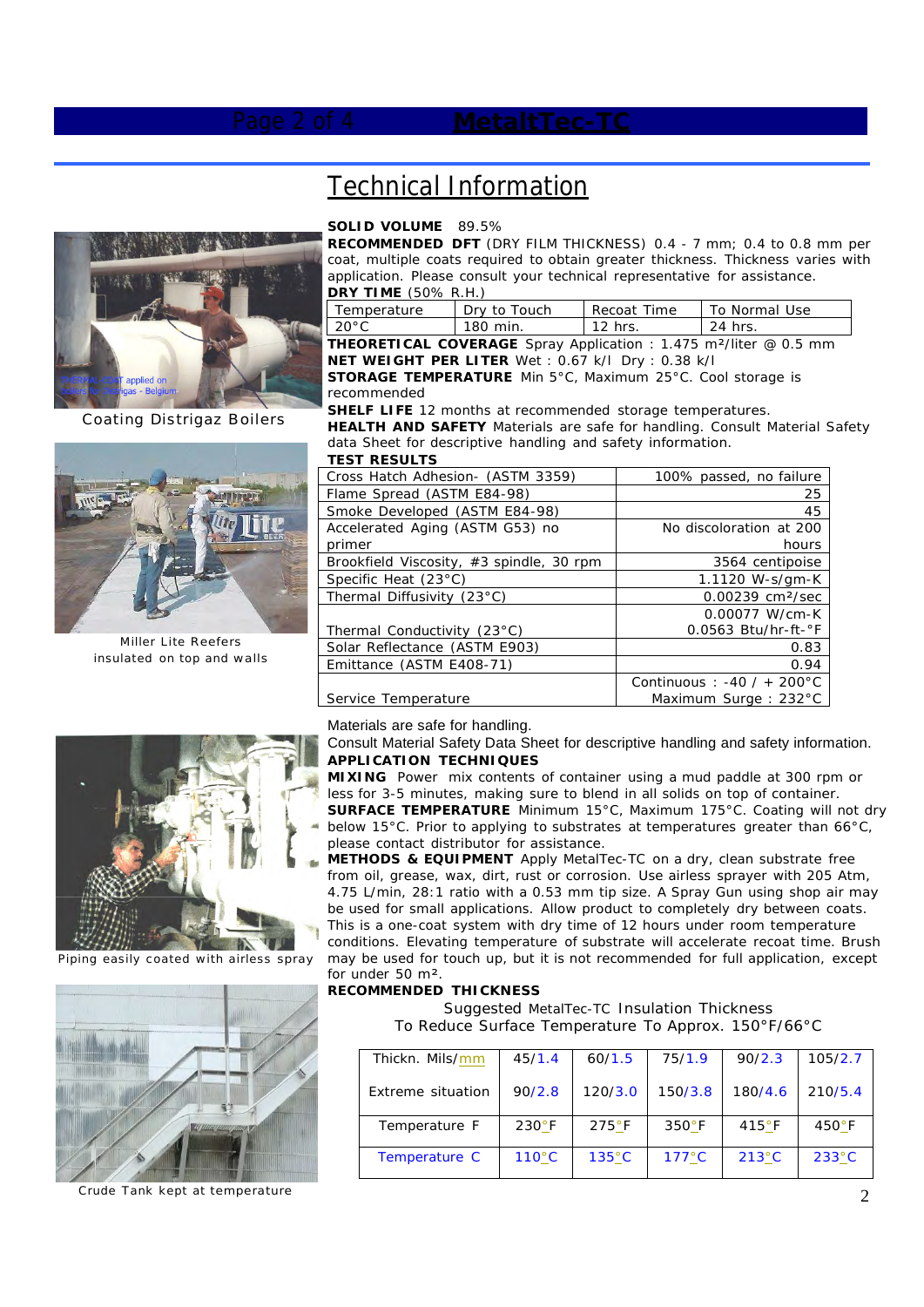# Technical Information



Coating Distrigaz Boilers



Miller Lite Reefers insulated on top and walls



#### **SOLID VOLUME** 89.5%

**RECOMMENDED DFT** (DRY FILM THICKNESS) 0.4 - 7 mm; 0.4 to 0.8 mm per coat, multiple coats required to obtain greater thickness. Thickness varies with application. Please consult your technical representative for assistance. **DRY TIME** (50% R.H.)

|  | Temperature         | Dry to Touch | Recoat Time | l To Normal Use |
|--|---------------------|--------------|-------------|-----------------|
|  | $\sim 20^{\circ}$ C | 180 min.     | 12 hrs.     | 24 hrs.         |

**THEORETICAL COVERAGE** Spray Application : 1.475 m²/liter @ 0.5 mm **NET WEIGHT PER LITER** Wet : 0.67 k/l Dry : 0.38 k/l

**STORAGE TEMPERATURE** Min 5°C, Maximum 25°C. Cool storage is recommended

**SHELF LIFE** 12 months at recommended storage temperatures.

**HEALTH AND SAFETY** Materials are safe for handling. Consult Material Safety data Sheet for descriptive handling and safety information. **TEST RESULTS**

| Cross Hatch Adhesion- (ASTM 3359)        | 100% passed, no failure            |
|------------------------------------------|------------------------------------|
| Flame Spread (ASTM E84-98)               | 25                                 |
| Smoke Developed (ASTM E84-98)            | 45                                 |
| Accelerated Aging (ASTM G53) no          | No discoloration at 200            |
| primer                                   | hours                              |
| Brookfield Viscosity, #3 spindle, 30 rpm | 3564 centipoise                    |
| Specific Heat $(23^{\circ}C)$            | 1.1120 W-s/gm-K                    |
| Thermal Diffusivity (23°C)               | 0.00239 cm <sup>2</sup> /sec       |
|                                          | 0.00077 W/cm-K                     |
| Thermal Conductivity (23°C)              | $0.0563$ Btu/hr-ft- $\degree$ F    |
| Solar Reflectance (ASTM E903)            | 0.83                               |
| Emittance (ASTM E408-71)                 | 0.94                               |
|                                          | Continuous: $-40/ + 200^{\circ}$ C |
| Service Temperature                      | Maximum Surge: 232°C               |



Piping easily coated with airless spray



Crude Tank kept at temperature

Materials are safe for handling.

Consult Material Safety Data Sheet for descriptive handling and safety information. **APPLICATION TECHNIQUES**

**MIXING** Power mix contents of container using a mud paddle at 300 rpm or less for 3-5 minutes, making sure to blend in all solids on top of container. **SURFACE TEMPERATURE** Minimum 15°C, Maximum 175°C. Coating will not dry below 15°C. Prior to applying to substrates at temperatures greater than 66°C, please contact distributor for assistance.

**METHODS & EQUIPMENT** Apply MetalTec-TC on a dry, clean substrate free from oil, grease, wax, dirt, rust or corrosion. Use airless sprayer with 205 Atm, 4.75 L/min, 28:1 ratio with a 0.53 mm tip size. A Spray Gun using shop air may be used for small applications. Allow product to completely dry between coats. This is a one-coat system with dry time of 12 hours under room temperature conditions. Elevating temperature of substrate will accelerate recoat time. Brush may be used for touch up, but it is not recommended for full application, except for under 50 m².

#### **RECOMMENDED THICKNESS**

Suggested MetalTec-TC Insulation Thickness To Reduce Surface Temperature To Approx. 150°F/66°C

| Thickn. Mils/mm   | 45/1.4          | 60/1.5          | 75/1.9          | 90/2.3          | 105/2.7         |
|-------------------|-----------------|-----------------|-----------------|-----------------|-----------------|
| Extreme situation | 90/2.8          | 120/3.0         | 150/3.8         | 180/4.6         | 210/5.4         |
| Temperature F     | $230^{\circ}$ F | $275^{\circ}$ F | $350^{\circ}$ F | 415°F           | $450^{\circ}$ F |
| Temperature C     | $110^{\circ}$ C | $135^{\circ}$ C | $177^\circ C$   | $213^{\circ}$ C | $233^{\circ}$ C |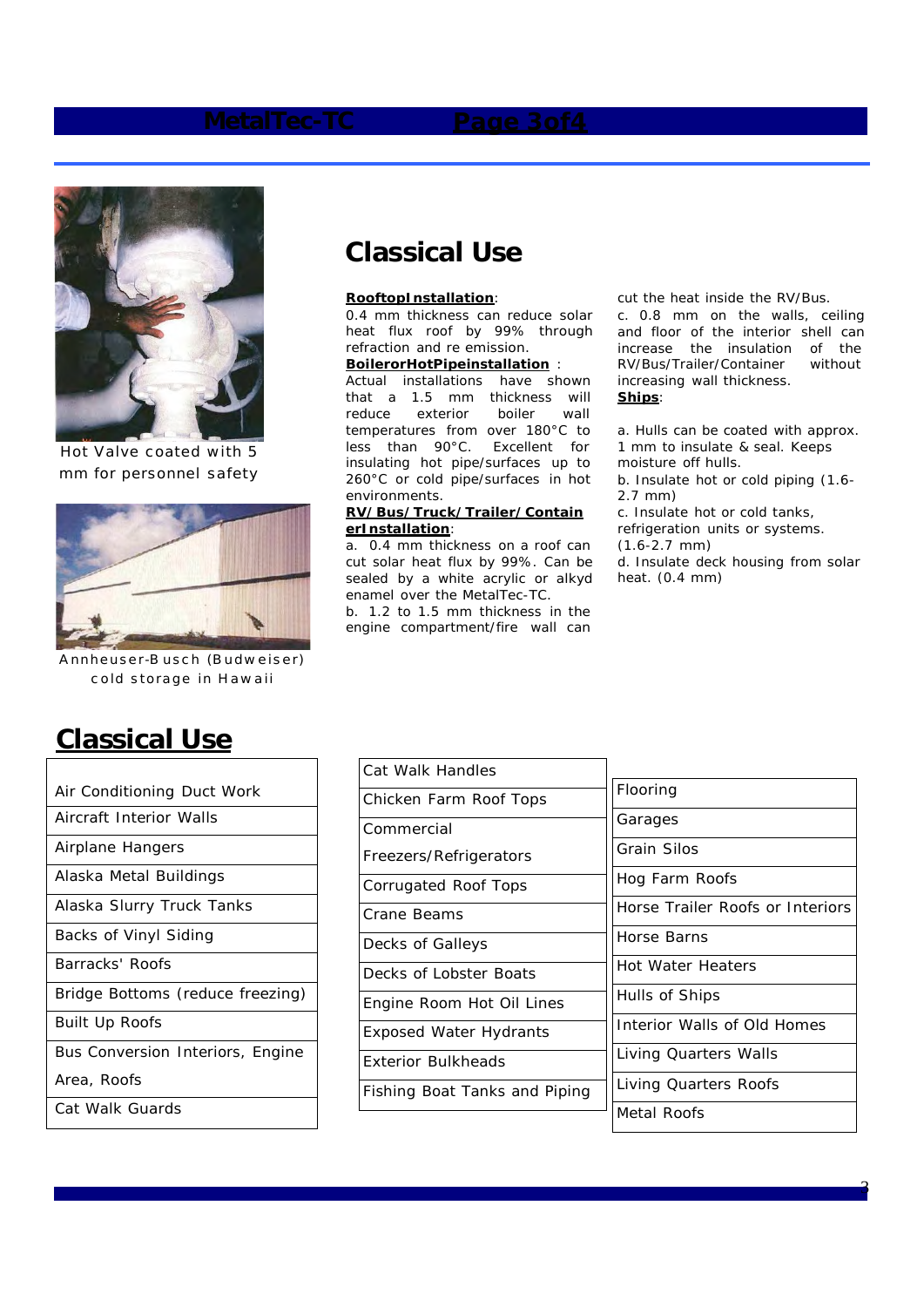

Hot Valve coated with 5 mm for personnel safety



Annheuser-B usch (Budweiser) cold storage in Hawaii

# **Classical Use**

#### **RooftopInstallation**:

0.4 mm thickness can reduce solar heat flux roof by 99% through refraction and re emission. **BoilerorHotPipeinstallation** :

Actual installations have shown that a 1.5 mm thickness will reduce exterior boiler wall temperatures from over 180°C to less than 90°C. Excellent for insulating hot pipe/surfaces up to 260°C or cold pipe/surfaces in hot environments.

#### **RV/Bus/Truck/Trailer/Contain erInstallation**:

a. 0.4 mm thickness on a roof can cut solar heat flux by 99%. Can be sealed by a white acrylic or alkyd enamel over the MetalTec-TC.

b. 1.2 to 1.5 mm thickness in the engine compartment/fire wall can

cut the heat inside the RV/Bus. c. 0.8 mm on the walls, ceiling and floor of the interior shell can increase the insulation of the RV/Bus/Trailer/Container without increasing wall thickness. **Ships**:

a. Hulls can be coated with approx. 1 mm to insulate & seal. Keeps moisture off hulls.

b. Insulate hot or cold piping (1.6- 2.7 mm)

c. Insulate hot or cold tanks,

refrigeration units or systems. (1.6-2.7 mm)

d. Insulate deck housing from solar heat. (0.4 mm)

3

## **Classical Use**

| Air Conditioning Duct Work       |  |
|----------------------------------|--|
| Aircraft Interior Walls          |  |
| Airplane Hangers                 |  |
| Alaska Metal Buildings           |  |
| Alaska Slurry Truck Tanks        |  |
| Backs of Vinyl Siding            |  |
| Barracks' Roofs                  |  |
| Bridge Bottoms (reduce freezing) |  |
| <b>Built Up Roofs</b>            |  |
| Bus Conversion Interiors, Engine |  |
| Area, Roofs                      |  |
| Cat Walk Guards                  |  |

| Cat Walk Handles              |                                  |
|-------------------------------|----------------------------------|
| Chicken Farm Roof Tops        | Flooring                         |
| Commercial                    | Garages                          |
| Freezers/Refrigerators        | Grain Silos                      |
| Corrugated Roof Tops          | Hog Farm Roofs                   |
| Crane Beams                   | Horse Trailer Roofs or Interiors |
| Decks of Galleys              | Horse Barns                      |
| Decks of Lobster Boats        | Hot Water Heaters                |
| Engine Room Hot Oil Lines     | Hulls of Ships                   |
| Exposed Water Hydrants        | Interior Walls of Old Homes      |
| <b>Exterior Bulkheads</b>     | Living Quarters Walls            |
| Fishing Boat Tanks and Piping | Living Quarters Roofs            |
|                               | Metal Roofs                      |